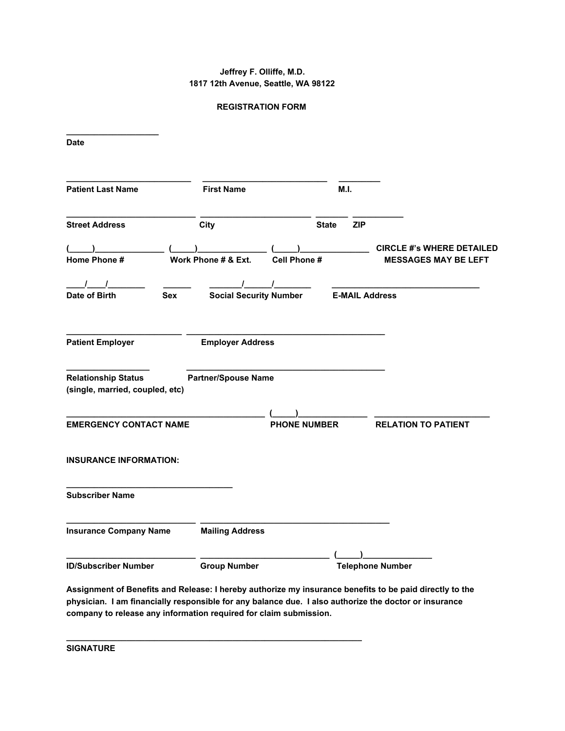## **Jeffrey F. Olliffe, M.D. 1817 12th Avenue, Seattle, WA 98122**

## **REGISTRATION FORM**

| <b>Date</b>                                                   |                               |                     |              |     |                                                                 |
|---------------------------------------------------------------|-------------------------------|---------------------|--------------|-----|-----------------------------------------------------------------|
| <b>Patient Last Name</b>                                      | <b>First Name</b>             |                     | M.I.         |     |                                                                 |
| <b>Street Address</b>                                         | City                          |                     | <b>State</b> | ZIP |                                                                 |
| Home Phone #                                                  | Work Phone # & Ext.           | Cell Phone #        |              |     | <b>CIRCLE #'s WHERE DETAILED</b><br><b>MESSAGES MAY BE LEFT</b> |
| $\sqrt{1}$<br>Date of Birth<br><b>Sex</b>                     | <b>Social Security Number</b> |                     |              |     | <b>E-MAIL Address</b>                                           |
| <b>Patient Employer</b>                                       | <b>Employer Address</b>       |                     |              |     |                                                                 |
| <b>Relationship Status</b><br>(single, married, coupled, etc) | <b>Partner/Spouse Name</b>    |                     |              |     |                                                                 |
| <b>EMERGENCY CONTACT NAME</b>                                 |                               | <b>PHONE NUMBER</b> |              |     | <b>RELATION TO PATIENT</b>                                      |
| <b>INSURANCE INFORMATION:</b>                                 |                               |                     |              |     |                                                                 |
| <b>Subscriber Name</b>                                        |                               |                     |              |     |                                                                 |
| <b>Insurance Company Name</b>                                 | <b>Mailing Address</b>        |                     |              |     |                                                                 |
| <b>ID/Subscriber Number</b>                                   | <b>Group Number</b>           |                     |              |     | <b>Telephone Number</b>                                         |

**Assignment of Benefits and Release: I hereby authorize my insurance benefits to be paid directly to the physician. I am financially responsible for any balance due. I also authorize the doctor or insurance company to release any information required for claim submission.**

**\_\_\_\_\_\_\_\_\_\_\_\_\_\_\_\_\_\_\_\_\_\_\_\_\_\_\_\_\_\_\_\_\_\_\_\_\_\_\_\_\_\_\_\_\_\_\_\_\_\_\_\_\_\_\_\_\_\_\_\_\_\_\_\_**

**SIGNATURE**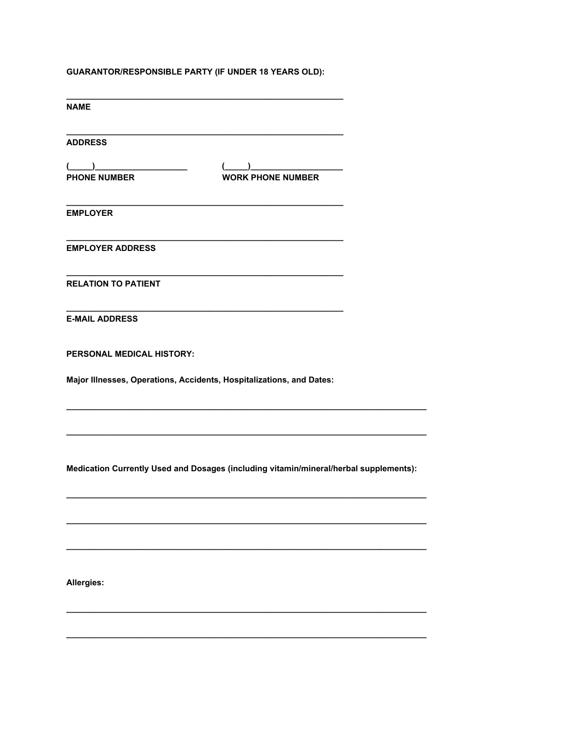## **GUARANTOR/RESPONSIBLE PARTY (IF UNDER 18 YEARS OLD):**

| <b>NAME</b>                                                          |                                                                                                                                                                                                                                                                                                                                                                                 |
|----------------------------------------------------------------------|---------------------------------------------------------------------------------------------------------------------------------------------------------------------------------------------------------------------------------------------------------------------------------------------------------------------------------------------------------------------------------|
| <b>ADDRESS</b>                                                       |                                                                                                                                                                                                                                                                                                                                                                                 |
| <b>PHONE NUMBER</b>                                                  | $\begin{picture}(20,10) \put(0,0){\line(1,0){10}} \put(15,0){\line(1,0){10}} \put(15,0){\line(1,0){10}} \put(15,0){\line(1,0){10}} \put(15,0){\line(1,0){10}} \put(15,0){\line(1,0){10}} \put(15,0){\line(1,0){10}} \put(15,0){\line(1,0){10}} \put(15,0){\line(1,0){10}} \put(15,0){\line(1,0){10}} \put(15,0){\line(1,0){10}} \put(15,0){\line(1$<br><b>WORK PHONE NUMBER</b> |
| <b>EMPLOYER</b>                                                      |                                                                                                                                                                                                                                                                                                                                                                                 |
| <b>EMPLOYER ADDRESS</b>                                              |                                                                                                                                                                                                                                                                                                                                                                                 |
| <b>RELATION TO PATIENT</b>                                           | <u> 1989 - Johann John Stein, markin fan it ferstjer fan de ferstjer fan it ferstjer fan de ferstjer fan de fers</u>                                                                                                                                                                                                                                                            |
| <b>E-MAIL ADDRESS</b>                                                |                                                                                                                                                                                                                                                                                                                                                                                 |
| <b>PERSONAL MEDICAL HISTORY:</b>                                     |                                                                                                                                                                                                                                                                                                                                                                                 |
| Major Illnesses, Operations, Accidents, Hospitalizations, and Dates: |                                                                                                                                                                                                                                                                                                                                                                                 |
|                                                                      |                                                                                                                                                                                                                                                                                                                                                                                 |
|                                                                      | Medication Currently Used and Dosages (including vitamin/mineral/herbal supplements):                                                                                                                                                                                                                                                                                           |

Allergies: